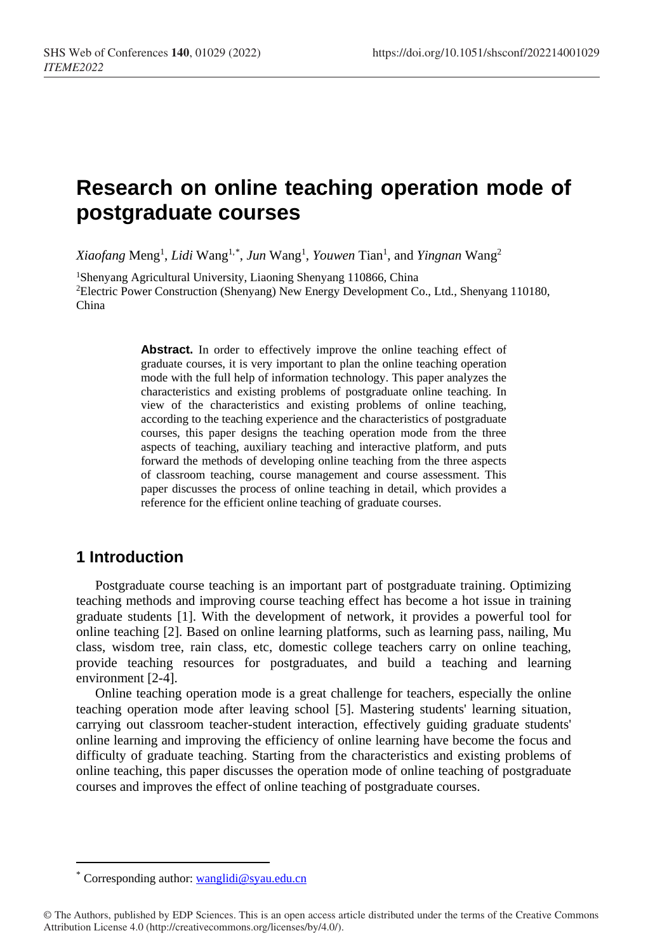# **Research on online teaching operation mode of postgraduate courses**

Xiaofang Meng<sup>1</sup>, Lidi Wang<sup>1,[\\*](#page-0-0)</sup>, Jun Wang<sup>1</sup>, Youwen Tian<sup>1</sup>, and Yingnan Wang<sup>2</sup>

1Shenyang Agricultural University, Liaoning Shenyang 110866, China 2Electric Power Construction (Shenyang) New Energy Development Co., Ltd., Shenyang 110180, China

> Abstract. In order to effectively improve the online teaching effect of graduate courses, it is very important to plan the online teaching operation mode with the full help of information technology. This paper analyzes the characteristics and existing problems of postgraduate online teaching. In view of the characteristics and existing problems of online teaching, according to the teaching experience and the characteristics of postgraduate courses, this paper designs the teaching operation mode from the three aspects of teaching, auxiliary teaching and interactive platform, and puts forward the methods of developing online teaching from the three aspects of classroom teaching, course management and course assessment. This paper discusses the process of online teaching in detail, which provides a reference for the efficient online teaching of graduate courses.

### **1 Introduction**

 $\overline{a}$ 

Postgraduate course teaching is an important part of postgraduate training. Optimizing teaching methods and improving course teaching effect has become a hot issue in training graduate students [1]. With the development of network, it provides a powerful tool for online teaching [2]. Based on online learning platforms, such as learning pass, nailing, Mu class, wisdom tree, rain class, etc, domestic college teachers carry on online teaching, provide teaching resources for postgraduates, and build a teaching and learning environment [2-4].

Online teaching operation mode is a great challenge for teachers, especially the online teaching operation mode after leaving school [5]. Mastering students' learning situation, carrying out classroom teacher-student interaction, effectively guiding graduate students' online learning and improving the efficiency of online learning have become the focus and difficulty of graduate teaching. Starting from the characteristics and existing problems of online teaching, this paper discusses the operation mode of online teaching of postgraduate courses and improves the effect of online teaching of postgraduate courses.

Corresponding author: [wanglidi@syau.edu.cn](mailto:wanglidi@syau.edu.cn)

<span id="page-0-0"></span><sup>©</sup> The Authors, published by EDP Sciences. This is an open access article distributed under the terms of the Creative Commons Attribution License 4.0 (http://creativecommons.org/licenses/by/4.0/).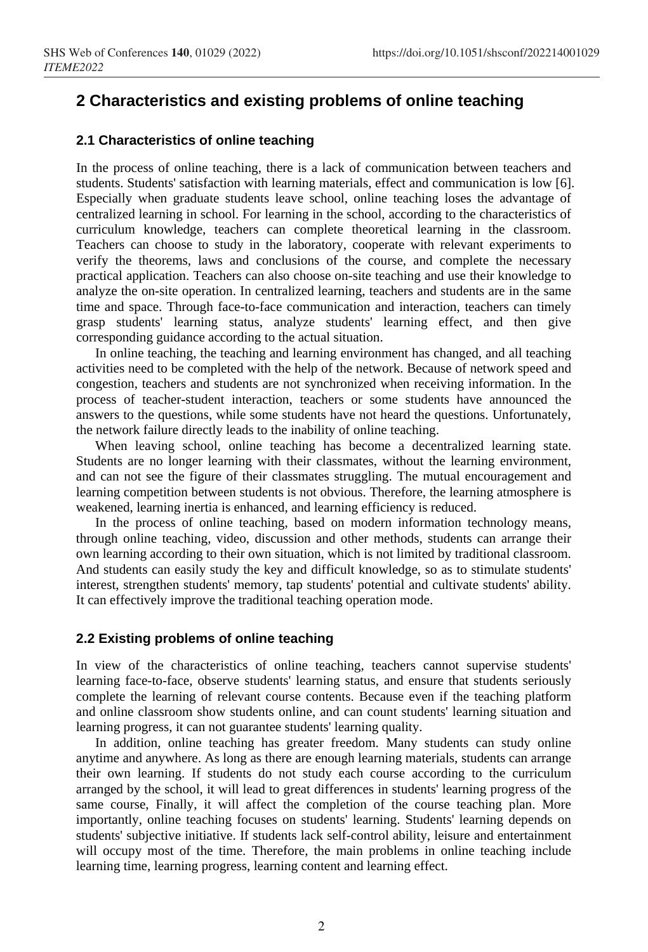## **2 Characteristics and existing problems of online teaching**

#### **2.1 Characteristics of online teaching**

In the process of online teaching, there is a lack of communication between teachers and students. Students' satisfaction with learning materials, effect and communication is low [6]. Especially when graduate students leave school, online teaching loses the advantage of centralized learning in school. For learning in the school, according to the characteristics of curriculum knowledge, teachers can complete theoretical learning in the classroom. Teachers can choose to study in the laboratory, cooperate with relevant experiments to verify the theorems, laws and conclusions of the course, and complete the necessary practical application. Teachers can also choose on-site teaching and use their knowledge to analyze the on-site operation. In centralized learning, teachers and students are in the same time and space. Through face-to-face communication and interaction, teachers can timely grasp students' learning status, analyze students' learning effect, and then give corresponding guidance according to the actual situation.

In online teaching, the teaching and learning environment has changed, and all teaching activities need to be completed with the help of the network. Because of network speed and congestion, teachers and students are not synchronized when receiving information. In the process of teacher-student interaction, teachers or some students have announced the answers to the questions, while some students have not heard the questions. Unfortunately, the network failure directly leads to the inability of online teaching.

When leaving school, online teaching has become a decentralized learning state. Students are no longer learning with their classmates, without the learning environment, and can not see the figure of their classmates struggling. The mutual encouragement and learning competition between students is not obvious. Therefore, the learning atmosphere is weakened, learning inertia is enhanced, and learning efficiency is reduced.

In the process of online teaching, based on modern information technology means, through online teaching, video, discussion and other methods, students can arrange their own learning according to their own situation, which is not limited by traditional classroom. And students can easily study the key and difficult knowledge, so as to stimulate students' interest, strengthen students' memory, tap students' potential and cultivate students' ability. It can effectively improve the traditional teaching operation mode.

### **2.2 Existing problems of online teaching**

In view of the characteristics of online teaching, teachers cannot supervise students' learning face-to-face, observe students' learning status, and ensure that students seriously complete the learning of relevant course contents. Because even if the teaching platform and online classroom show students online, and can count students' learning situation and learning progress, it can not guarantee students' learning quality.

In addition, online teaching has greater freedom. Many students can study online anytime and anywhere. As long as there are enough learning materials, students can arrange their own learning. If students do not study each course according to the curriculum arranged by the school, it will lead to great differences in students' learning progress of the same course, Finally, it will affect the completion of the course teaching plan. More importantly, online teaching focuses on students' learning. Students' learning depends on students' subjective initiative. If students lack self-control ability, leisure and entertainment will occupy most of the time. Therefore, the main problems in online teaching include learning time, learning progress, learning content and learning effect.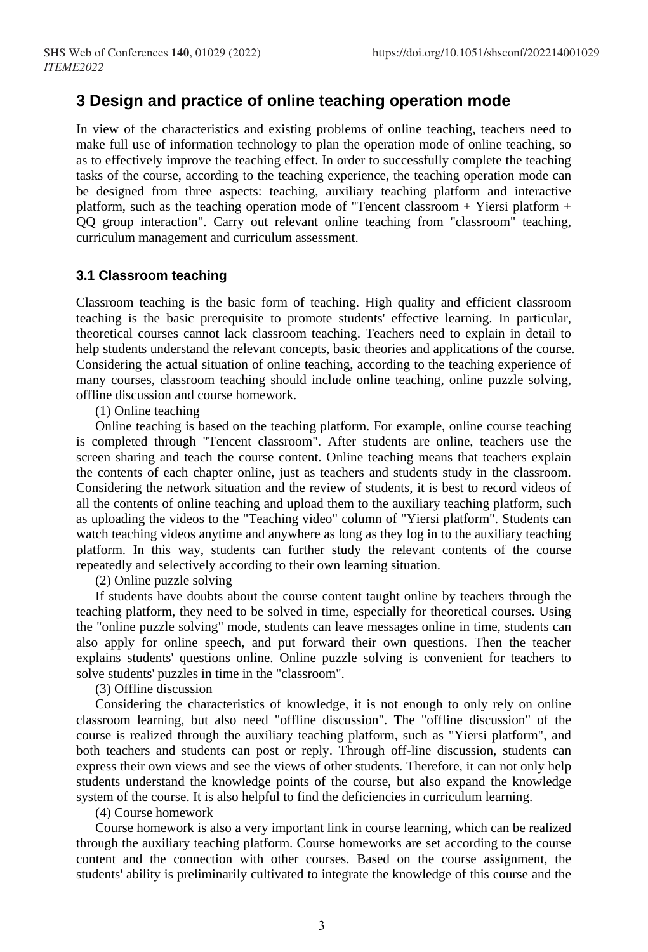### **3 Design and practice of online teaching operation mode**

In view of the characteristics and existing problems of online teaching, teachers need to make full use of information technology to plan the operation mode of online teaching, so as to effectively improve the teaching effect. In order to successfully complete the teaching tasks of the course, according to the teaching experience, the teaching operation mode can be designed from three aspects: teaching, auxiliary teaching platform and interactive platform, such as the teaching operation mode of "Tencent classroom + Yiersi platform + QQ group interaction". Carry out relevant online teaching from "classroom" teaching, curriculum management and curriculum assessment.

### **3.1 Classroom teaching**

Classroom teaching is the basic form of teaching. High quality and efficient classroom teaching is the basic prerequisite to promote students' effective learning. In particular, theoretical courses cannot lack classroom teaching. Teachers need to explain in detail to help students understand the relevant concepts, basic theories and applications of the course. Considering the actual situation of online teaching, according to the teaching experience of many courses, classroom teaching should include online teaching, online puzzle solving, offline discussion and course homework.

(1) Online teaching

Online teaching is based on the teaching platform. For example, online course teaching is completed through "Tencent classroom". After students are online, teachers use the screen sharing and teach the course content. Online teaching means that teachers explain the contents of each chapter online, just as teachers and students study in the classroom. Considering the network situation and the review of students, it is best to record videos of all the contents of online teaching and upload them to the auxiliary teaching platform, such as uploading the videos to the "Teaching video" column of "Yiersi platform". Students can watch teaching videos anytime and anywhere as long as they log in to the auxiliary teaching platform. In this way, students can further study the relevant contents of the course repeatedly and selectively according to their own learning situation.

(2) Online puzzle solving

If students have doubts about the course content taught online by teachers through the teaching platform, they need to be solved in time, especially for theoretical courses. Using the "online puzzle solving" mode, students can leave messages online in time, students can also apply for online speech, and put forward their own questions. Then the teacher explains students' questions online. Online puzzle solving is convenient for teachers to solve students' puzzles in time in the "classroom".

(3) Offline discussion

Considering the characteristics of knowledge, it is not enough to only rely on online classroom learning, but also need "offline discussion". The "offline discussion" of the course is realized through the auxiliary teaching platform, such as "Yiersi platform", and both teachers and students can post or reply. Through off-line discussion, students can express their own views and see the views of other students. Therefore, it can not only help students understand the knowledge points of the course, but also expand the knowledge system of the course. It is also helpful to find the deficiencies in curriculum learning.

(4) Course homework

Course homework is also a very important link in course learning, which can be realized through the auxiliary teaching platform. Course homeworks are set according to the course content and the connection with other courses. Based on the course assignment, the students' ability is preliminarily cultivated to integrate the knowledge of this course and the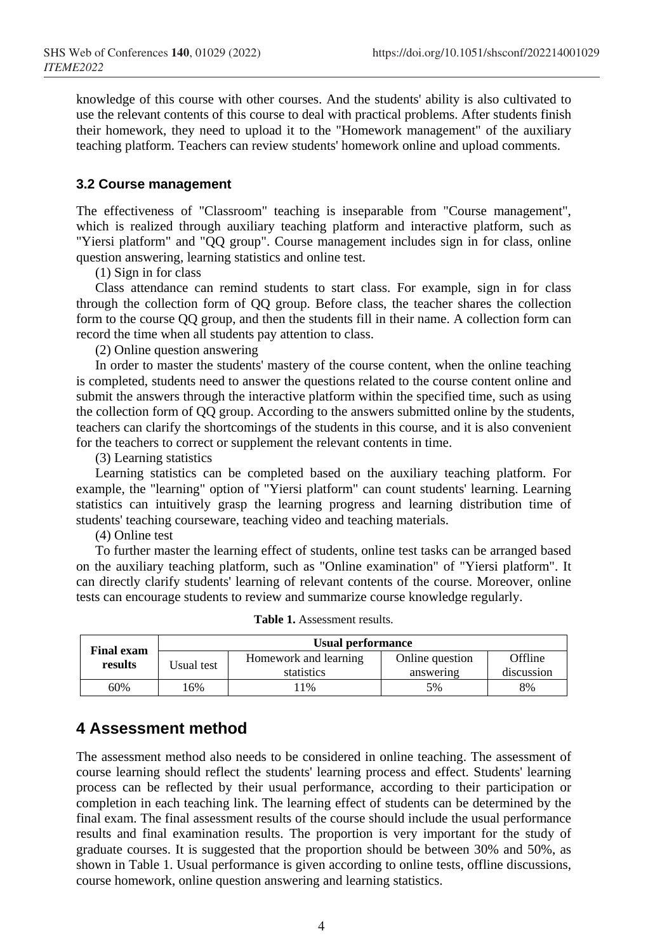knowledge of this course with other courses. And the students' ability is also cultivated to use the relevant contents of this course to deal with practical problems. After students finish their homework, they need to upload it to the "Homework management" of the auxiliary teaching platform. Teachers can review students' homework online and upload comments.

#### **3.2 Course management**

The effectiveness of "Classroom" teaching is inseparable from "Course management", which is realized through auxiliary teaching platform and interactive platform, such as "Yiersi platform" and "QQ group". Course management includes sign in for class, online question answering, learning statistics and online test.

(1) Sign in for class

Class attendance can remind students to start class. For example, sign in for class through the collection form of QQ group. Before class, the teacher shares the collection form to the course QQ group, and then the students fill in their name. A collection form can record the time when all students pay attention to class.

(2) Online question answering

In order to master the students' mastery of the course content, when the online teaching is completed, students need to answer the questions related to the course content online and submit the answers through the interactive platform within the specified time, such as using the collection form of QQ group. According to the answers submitted online by the students, teachers can clarify the shortcomings of the students in this course, and it is also convenient for the teachers to correct or supplement the relevant contents in time.

(3) Learning statistics

Learning statistics can be completed based on the auxiliary teaching platform. For example, the "learning" option of "Yiersi platform" can count students' learning. Learning statistics can intuitively grasp the learning progress and learning distribution time of students' teaching courseware, teaching video and teaching materials.

(4) Online test

To further master the learning effect of students, online test tasks can be arranged based on the auxiliary teaching platform, such as "Online examination" of "Yiersi platform". It can directly clarify students' learning of relevant contents of the course. Moreover, online tests can encourage students to review and summarize course knowledge regularly.

| <b>Final exam</b><br>results | Usual performance |                       |                 |            |
|------------------------------|-------------------|-----------------------|-----------------|------------|
|                              | Usual test        | Homework and learning | Online question | Offline    |
|                              |                   | statistics            | answering       | discussion |
| 60%                          | .6%               | 1%                    | 5%              | 8%         |

**Table 1.** Assessment results.

## **4 Assessment method**

The assessment method also needs to be considered in online teaching. The assessment of course learning should reflect the students' learning process and effect. Students' learning process can be reflected by their usual performance, according to their participation or completion in each teaching link. The learning effect of students can be determined by the final exam. The final assessment results of the course should include the usual performance results and final examination results. The proportion is very important for the study of graduate courses. It is suggested that the proportion should be between 30% and 50%, as shown in Table 1. Usual performance is given according to online tests, offline discussions, course homework, online question answering and learning statistics.